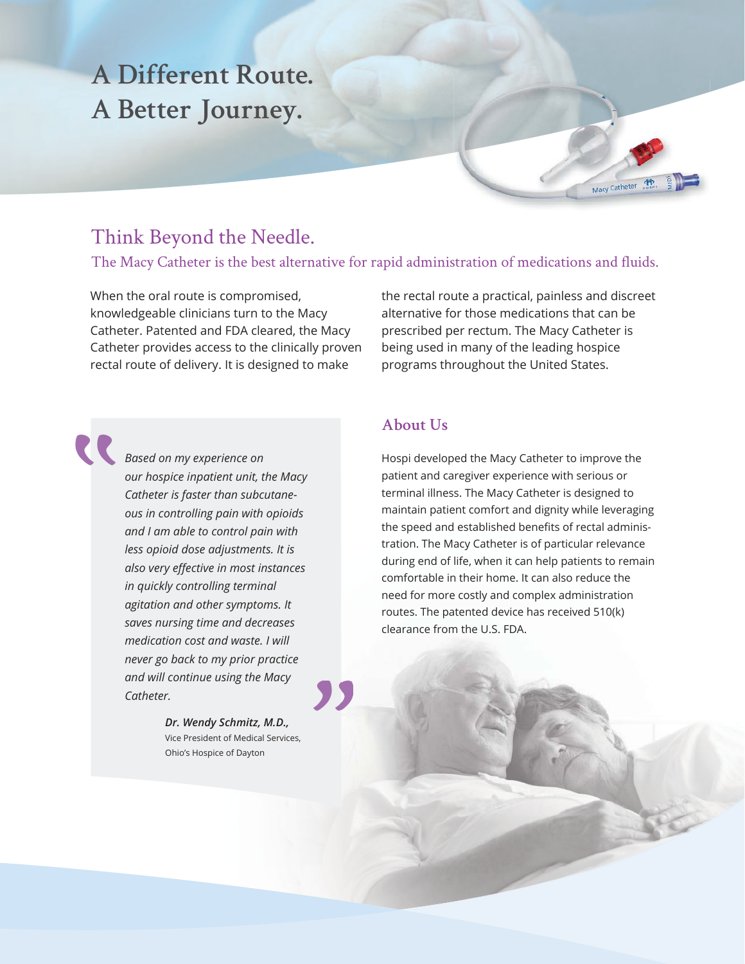# **A Different Route. A Better Journey.**

### Think Beyond the Needle.

The Macy Catheter is the best alternative for rapid administration of medications and fluids.

When the oral route is compromised, knowledgeable clinicians turn to the Macy Catheter. Patented and FDA cleared, the Macy Catheter provides access to the clinically proven rectal route of delivery. It is designed to make

the rectal route a practical, painless and discreet alternative for those medications that can be prescribed per rectum. The Macy Catheter is being used in many of the leading hospice programs throughout the United States.

Macy Catheter (

*Based on my experience on*<br> *our hospice inpatient unit, t.*<br> *Catheter is faster than subclous in controlling pain with our hospice inpatient unit, the Macy Catheter is faster than subcutaneous in controlling pain with opioids and I am able to control pain with less opioid dose adjustments. It is also very effective in most instances in quickly controlling terminal agitation and other symptoms. It saves nursing time and decreases medication cost and waste. I will never go back to my prior practice and will continue using the Macy Catheter.*

**''**

*Dr. Wendy Schmitz, M.D.,* Vice President of Medical Services, Ohio's Hospice of Dayton

**''**

#### **About Us**

Hospi developed the Macy Catheter to improve the patient and caregiver experience with serious or terminal illness. The Macy Catheter is designed to maintain patient comfort and dignity while leveraging the speed and established benefits of rectal administration. The Macy Catheter is of particular relevance during end of life, when it can help patients to remain comfortable in their home. It can also reduce the need for more costly and complex administration routes. The patented device has received 510(k) clearance from the U.S. FDA.